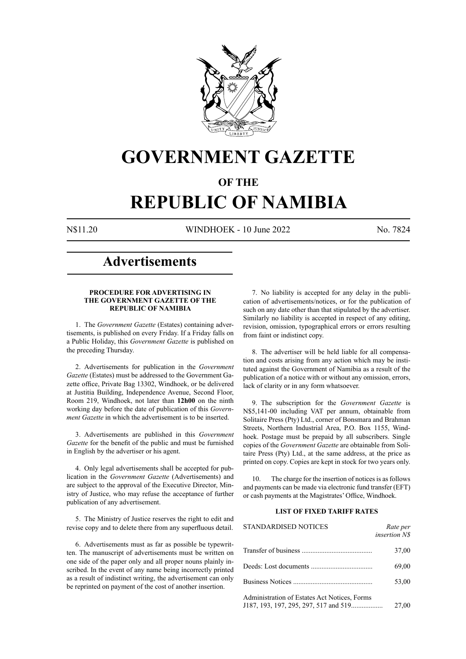

# **GOVERNMENT GAZETTE**

### **OF THE**

# **REPUBLIC OF NAMIBIA**

N\$11.20 WINDHOEK - 10 June 2022 No. 7824

### **Advertisements**

#### **PROCEDURE FOR ADVERTISING IN THE GOVERNMENT GAZETTE OF THE REPUBLIC OF NAMIBIA**

1. The *Government Gazette* (Estates) containing advertisements, is published on every Friday. If a Friday falls on a Public Holiday, this *Government Gazette* is published on the preceding Thursday.

2. Advertisements for publication in the *Government Gazette* (Estates) must be addressed to the Government Gazette office, Private Bag 13302, Windhoek, or be delivered at Justitia Building, Independence Avenue, Second Floor, Room 219, Windhoek, not later than **12h00** on the ninth working day before the date of publication of this *Government Gazette* in which the advertisement is to be inserted.

3. Advertisements are published in this *Government Gazette* for the benefit of the public and must be furnished in English by the advertiser or his agent.

4. Only legal advertisements shall be accepted for publication in the *Government Gazette* (Advertisements) and are subject to the approval of the Executive Director, Ministry of Justice, who may refuse the acceptance of further publication of any advertisement.

5. The Ministry of Justice reserves the right to edit and revise copy and to delete there from any superfluous detail.

6. Advertisements must as far as possible be typewritten. The manuscript of advertisements must be written on one side of the paper only and all proper nouns plainly inscribed. In the event of any name being incorrectly printed as a result of indistinct writing, the advertisement can only be reprinted on payment of the cost of another insertion.

7. No liability is accepted for any delay in the publication of advertisements/notices, or for the publication of such on any date other than that stipulated by the advertiser. Similarly no liability is accepted in respect of any editing, revision, omission, typographical errors or errors resulting from faint or indistinct copy.

8. The advertiser will be held liable for all compensation and costs arising from any action which may be instituted against the Government of Namibia as a result of the publication of a notice with or without any omission, errors, lack of clarity or in any form whatsoever.

9. The subscription for the *Government Gazette* is N\$5,141-00 including VAT per annum, obtainable from Solitaire Press (Pty) Ltd., corner of Bonsmara and Brahman Streets, Northern Industrial Area, P.O. Box 1155, Windhoek. Postage must be prepaid by all subscribers. Single copies of the *Government Gazette* are obtainable from Solitaire Press (Pty) Ltd., at the same address, at the price as printed on copy. Copies are kept in stock for two years only.

10. The charge for the insertion of notices is as follows and payments can be made via electronic fund transfer (EFT) or cash payments at the Magistrates' Office, Windhoek.

#### **LIST OF FIXED TARIFF RATES**

| <b>STANDARDISED NOTICES</b>                                                           | Rate per<br>insertion N\$ |
|---------------------------------------------------------------------------------------|---------------------------|
|                                                                                       | 37,00                     |
|                                                                                       | 69,00                     |
|                                                                                       | 53.00                     |
| Administration of Estates Act Notices, Forms<br>J187, 193, 197, 295, 297, 517 and 519 | 27.00                     |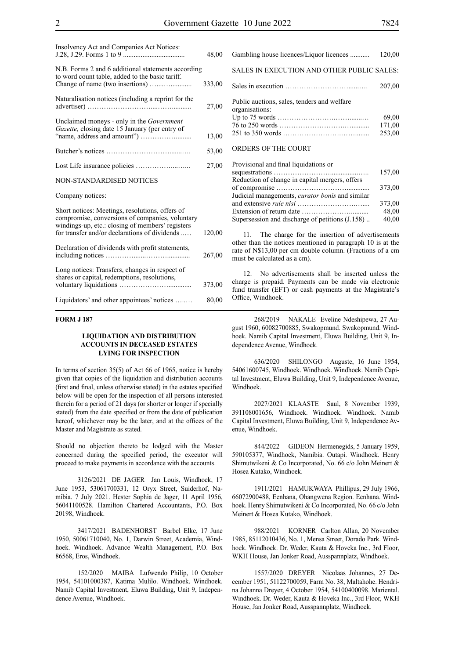| Insolvency Act and Companies Act Notices:                                                                                                                                                               | 48,00  |
|---------------------------------------------------------------------------------------------------------------------------------------------------------------------------------------------------------|--------|
| N.B. Forms 2 and 6 additional statements according<br>to word count table, added to the basic tariff.                                                                                                   | 333,00 |
| Naturalisation notices (including a reprint for the                                                                                                                                                     | 27,00  |
| Unclaimed moneys - only in the Government<br>Gazette, closing date 15 January (per entry of                                                                                                             | 13,00  |
|                                                                                                                                                                                                         | 53,00  |
|                                                                                                                                                                                                         | 27,00  |
| NON-STANDARDISED NOTICES                                                                                                                                                                                |        |
| Company notices:                                                                                                                                                                                        |        |
| Short notices: Meetings, resolutions, offers of<br>compromise, conversions of companies, voluntary<br>windings-up, etc.: closing of members' registers<br>for transfer and/or declarations of dividends | 120,00 |
| Declaration of dividends with profit statements,                                                                                                                                                        | 267,00 |
| Long notices: Transfers, changes in respect of<br>shares or capital, redemptions, resolutions,                                                                                                          | 373,00 |
| Liquidators' and other appointees' notices                                                                                                                                                              | 80,00  |

#### **FORM J 187**

#### **LIQUIDATION AND DISTRIBUTION ACCOUNTS IN DECEASED ESTATES LYING FOR INSPECTION**

In terms of section 35(5) of Act 66 of 1965, notice is hereby given that copies of the liquidation and distribution accounts (first and final, unless otherwise stated) in the estates specified below will be open for the inspection of all persons interested therein for a period of 21 days (or shorter or longer if specially stated) from the date specified or from the date of publication hereof, whichever may be the later, and at the offices of the Master and Magistrate as stated.

Should no objection thereto be lodged with the Master concerned during the specified period, the executor will proceed to make payments in accordance with the accounts.

3126/2021 DE JAGER Jan Louis, Windhoek, 17 June 1953, 53061700331, 12 Oryx Street, Suiderhof, Namibia. 7 July 2021. Hester Sophia de Jager, 11 April 1956, 56041100528. Hamilton Chartered Accountants, P.O. Box 20198, Windhoek.

3417/2021 BADENHORST Barbel Elke, 17 June 1950, 50061710040, No. 1, Darwin Street, Academia, Windhoek. Windhoek. Advance Wealth Management, P.O. Box 86568, Eros, Windhoek.

152/2020 MAIBA Lufwendo Philip, 10 October 1954, 54101000387, Katima Mulilo. Windhoek. Windhoek. Namib Capital Investment, Eluwa Building, Unit 9, Independence Avenue, Windhoek.

| Gambling house licences/Liquor licences                       | 120,00           |
|---------------------------------------------------------------|------------------|
| SALES IN EXECUTION AND OTHER PUBLIC SALES:                    |                  |
|                                                               | 207,00           |
| Public auctions, sales, tenders and welfare<br>organisations: | 69,00            |
|                                                               | 171,00<br>253.00 |
| ORDERS OF THE COURT                                           |                  |
| Provisional and final liquidations or                         | 157.00           |

| 157,00 |
|--------|
|        |
| 373,00 |
|        |
| 373,00 |
| 48.00  |
| 40,00  |
|        |

The charge for the insertion of advertisements other than the notices mentioned in paragraph 10 is at the rate of N\$13,00 per cm double column. (Fractions of a cm must be calculated as a cm).

12. No advertisements shall be inserted unless the charge is prepaid. Payments can be made via electronic fund transfer (EFT) or cash payments at the Magistrate's Office, Windhoek.

268/2019 NAKALE Eveline Ndeshipewa, 27 August 1960, 60082700885, Swakopmund. Swakopmund. Windhoek. Namib Capital Investment, Eluwa Building, Unit 9, Independence Avenue, Windhoek.

636/2020 SHILONGO Auguste, 16 June 1954, 54061600745, Windhoek. Windhoek. Windhoek. Namib Capital Investment, Eluwa Building, Unit 9, Independence Avenue, Windhoek.

2027/2021 KLAASTE Saul, 8 November 1939, 391108001656, Windhoek. Windhoek. Windhoek. Namib Capital Investment, Eluwa Building, Unit 9, Independence Avenue, Windhoek.

844/2022 GIDEON Hermenegids, 5 January 1959, 590105377, Windhoek, Namibia. Outapi. Windhoek. Henry Shimutwikeni & Co Incorporated, No. 66 c/o John Meinert & Hosea Kutako, Windhoek.

1911/2021 HAMUKWAYA Phillipus, 29 July 1966, 66072900488, Eenhana, Ohangwena Region. Eenhana. Windhoek. Henry Shimutwikeni & Co Incorporated, No. 66 c/o John Meinert & Hosea Kutako, Windhoek.

988/2021 KORNER Carlton Allan, 20 November 1985, 85112010436, No. 1, Mensa Street, Dorado Park. Windhoek. Windhoek. Dr. Weder, Kauta & Hoveka Inc., 3rd Floor, WKH House, Jan Jonker Road, Ausspannplatz, Windhoek.

1557/2020 DREYER Nicolaas Johannes, 27 December 1951, 51122700059, Farm No. 38, Maltahohe. Hendrina Johanna Dreyer, 4 October 1954, 54100400098. Mariental. Windhoek. Dr. Weder, Kauta & Hoveka Inc., 3rd Floor, WKH House, Jan Jonker Road, Ausspannplatz, Windhoek.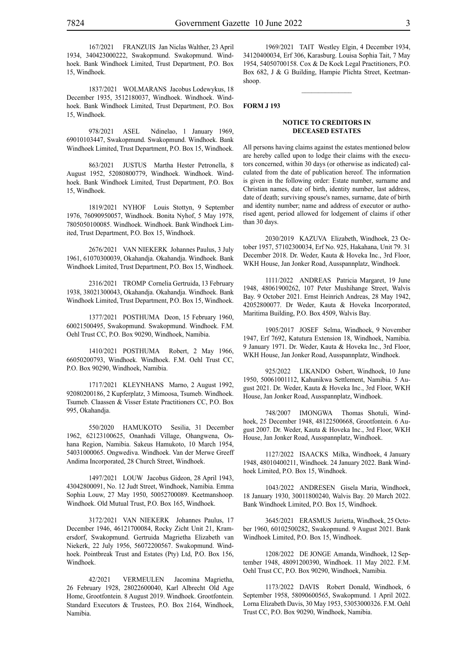167/2021 FRANZUIS Jan Niclas Walther, 23 April 1934, 340423000222, Swakopmund. Swakopmund. Windhoek. Bank Windhoek Limited, Trust Department, P.O. Box 15, Windhoek.

1837/2021 WOLMARANS Jacobus Lodewykus, 18 December 1935, 3512180037, Windhoek. Windhoek. Windhoek. Bank Windhoek Limited, Trust Department, P.O. Box 15, Windhoek.

978/2021 ASEL Ndinelao, 1 January 1969, 69010103447, Swakopmund. Swakopmund. Windhoek. Bank Windhoek Limited, Trust Department, P.O. Box 15, Windhoek.

863/2021 JUSTUS Martha Hester Petronella, 8 August 1952, 52080800779, Windhoek. Windhoek. Windhoek. Bank Windhoek Limited, Trust Department, P.O. Box 15, Windhoek.

1819/2021 NYHOF Louis Stottyn, 9 September 1976, 76090950057, Windhoek. Bonita Nyhof, 5 May 1978, 7805050100085. Windhoek. Windhoek. Bank Windhoek Limited, Trust Department, P.O. Box 15, Windhoek.

2676/2021 VAN NIEKERK Johannes Paulus, 3 July 1961, 61070300039, Okahandja. Okahandja. Windhoek. Bank Windhoek Limited, Trust Department, P.O. Box 15, Windhoek.

2316/2021 TROMP Cornelia Gertruida, 13 February 1938, 38021300043, Okahandja. Okahandja. Windhoek. Bank Windhoek Limited, Trust Department, P.O. Box 15, Windhoek.

1377/2021 POSTHUMA Deon, 15 February 1960, 60021500495, Swakopmund. Swakopmund. Windhoek. F.M. Oehl Trust CC, P.O. Box 90290, Windhoek, Namibia.

1410/2021 POSTHUMA Robert, 2 May 1966, 66050200793, Windhoek. Windhoek. F.M. Oehl Trust CC, P.O. Box 90290, Windhoek, Namibia.

1717/2021 KLEYNHANS Marno, 2 August 1992, 92080200186, 2 Kupferplatz, 3 Mimoosa, Tsumeb. Windhoek. Tsumeb. Claassen & Visser Estate Practitioners CC, P.O. Box 995, Okahandja.

550/2020 HAMUKOTO Sesilia, 31 December 1962, 62123100625, Onanhadi Village, Ohangwena, Oshana Region, Namibia. Sakeus Hamukoto, 10 March 1954, 54031000065. Ongwediva. Windhoek. Van der Merwe Greeff Andima Incorporated, 28 Church Street, Windhoek.

1497/2021 LOUW Jacobus Gideon, 28 April 1943, 43042800091, No. 12 Judt Street, Windhoek, Namibia. Emma Sophia Louw, 27 May 1950, 50052700089. Keetmanshoop. Windhoek. Old Mutual Trust, P.O. Box 165, Windhoek.

3172/2021 VAN NIEKERK Johannes Paulus, 17 December 1946, 46121700084, Rocky Zicht Unit 21, Kramersdorf, Swakopmund. Gertruida Magrietha Elizabeth van Niekerk, 22 July 1956, 56072200567. Swakopmund. Windhoek. Pointbreak Trust and Estates (Pty) Ltd, P.O. Box 156, Windhoek.

42/2021 VERMEULEN Jacomina Magrietha, 26 February 1928, 28022600040, Karl Albrecht Old Age Home, Grootfontein. 8 August 2019. Windhoek. Grootfontein. Standard Executors & Trustees, P.O. Box 2164, Windhoek, Namibia.

1969/2021 TAIT Westley Elgin, 4 December 1934, 34120400034, Erf 306, Karasburg. Louisa Sophia Tait, 7 May 1954, 54050700158. Cox & De Kock Legal Practitioners, P.O. Box 682, J & G Building, Hampie Plichta Street, Keetmanshoop.

 $\frac{1}{2}$ 

#### **FORM J 193**

#### **NOTICE TO CREDITORS IN DECEASED ESTATES**

All persons having claims against the estates mentioned below are hereby called upon to lodge their claims with the executors concerned, within 30 days (or otherwise as indicated) calculated from the date of publication hereof. The information is given in the following order: Estate number, surname and Christian names, date of birth, identity number, last address, date of death; surviving spouse's names, surname, date of birth and identity number; name and address of executor or authorised agent, period allowed for lodgement of claims if other than 30 days.

2030/2019 KAZUVA Elizabeth, Windhoek, 23 October 1957, 57102300034, Erf No. 925, Hakahana, Unit 79. 31 December 2018. Dr. Weder, Kauta & Hoveka Inc., 3rd Floor, WKH House, Jan Jonker Road, Ausspannplatz, Windhoek.

1111/2022 ANDREAS Patricia Margaret, 19 June 1948, 48061900262, 107 Peter Mushihange Street, Walvis Bay. 9 October 2021. Ernst Heinrich Andreas, 28 May 1942, 42052800077. Dr Weder, Kauta & Hoveka Incorporated, Maritima Building, P.O. Box 4509, Walvis Bay.

1905/2017 JOSEF Selma, Windhoek, 9 November 1947, Erf 7692, Katutura Extension 18, Windhoek, Namibia. 9 January 1971. Dr. Weder, Kauta & Hoveka Inc., 3rd Floor, WKH House, Jan Jonker Road, Ausspannplatz, Windhoek.

925/2022 LIKANDO Osbert, Windhoek, 10 June 1950, 50061001112, Kahunikwa Settlement, Namibia. 5 August 2021. Dr. Weder, Kauta & Hoveka Inc., 3rd Floor, WKH House, Jan Jonker Road, Ausspannplatz, Windhoek.

748/2007 IMONGWA Thomas Shotuli, Windhoek, 25 December 1948, 48122500668, Grootfontein. 6 August 2007. Dr. Weder, Kauta & Hoveka Inc., 3rd Floor, WKH House, Jan Jonker Road, Ausspannplatz, Windhoek.

1127/2022 ISAACKS Milka, Windhoek, 4 January 1948, 48010400211, Windhoek. 24 January 2022. Bank Windhoek Limited, P.O. Box 15, Windhoek.

1043/2022 ANDRESEN Gisela Maria, Windhoek, 18 January 1930, 30011800240, Walvis Bay. 20 March 2022. Bank Windhoek Limited, P.O. Box 15, Windhoek.

3645/2021 ERASMUS Jurietta, Windhoek, 25 October 1960, 60102500282, Swakopmund. 9 August 2021. Bank Windhoek Limited, P.O. Box 15, Windhoek.

1208/2022 DE JONGE Amanda, Windhoek, 12 September 1948, 48091200390, Windhoek. 11 May 2022. F.M. Oehl Trust CC, P.O. Box 90290, Windhoek, Namibia.

1173/2022 DAVIS Robert Donald, Windhoek, 6 September 1958, 58090600565, Swakopmund. 1 April 2022. Lorna Elizabeth Davis, 30 May 1953, 53053000326. F.M. Oehl Trust CC, P.O. Box 90290, Windhoek, Namibia.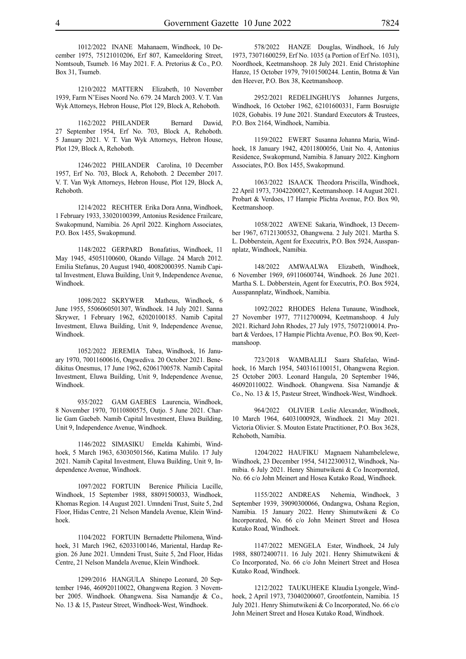1012/2022 INANE Mahanaem, Windhoek, 10 December 1975, 75121010206, Erf 807, Kameeldoring Street, Nomtsoub, Tsumeb. 16 May 2021. F. A. Pretorius & Co., P.O. Box 31, Tsumeb.

1210/2022 MATTERN Elizabeth, 10 November 1939, Farm N'Eises Noord No. 679. 24 March 2003. V. T. Van Wyk Attorneys, Hebron House, Plot 129, Block A, Rehoboth.

1162/2022 PHILANDER Bernard Dawid, 27 September 1954, Erf No. 703, Block A, Rehoboth. 5 January 2021. V. T. Van Wyk Attorneys, Hebron House, Plot 129, Block A, Rehoboth.

1246/2022 PHILANDER Carolina, 10 December 1957, Erf No. 703, Block A, Rehoboth. 2 December 2017. V. T. Van Wyk Attorneys, Hebron House, Plot 129, Block A, Rehoboth.

1214/2022 RECHTER Erika Dora Anna, Windhoek, 1 February 1933, 33020100399, Antonius Residence Frailcare, Swakopmund, Namibia. 26 April 2022. Kinghorn Associates, P.O. Box 1455, Swakopmund.

1148/2022 GERPARD Bonafatius, Windhoek, 11 May 1945, 45051100600, Okando Village. 24 March 2012. Emilia Stefanus, 20 August 1940, 40082000395. Namib Capital Investment, Eluwa Building, Unit 9, Independence Avenue, Windhoek.

1098/2022 SKRYWER Matheus, Windhoek, 6 June 1955, 5506060501307, Windhoek. 14 July 2021. Sanna Skrywer, 1 February 1962, 62020100185. Namib Capital Investment, Eluwa Building, Unit 9, Independence Avenue, Windhoek.

1052/2022 JEREMIA Tabea, Windhoek, 16 January 1970, 70011600616, Ongwediva. 20 October 2021. Benedikitus Onesmus, 17 June 1962, 62061700578. Namib Capital Investment, Eluwa Building, Unit 9, Independence Avenue, Windhoek.

935/2022 GAM GAEBES Laurencia, Windhoek, 8 November 1970, 70110800575, Outjo. 5 June 2021. Charlie Gam Gaebeb. Namib Capital Investment, Eluwa Building, Unit 9, Independence Avenue, Windhoek.

1146/2022 SIMASIKU Emelda Kahimbi, Windhoek, 5 March 1963, 63030501566, Katima Mulilo. 17 July 2021. Namib Capital Investment, Eluwa Building, Unit 9, Independence Avenue, Windhoek.

1097/2022 FORTUIN Berenice Philicia Lucille, Windhoek, 15 September 1988, 88091500033, Windhoek, Khomas Region. 14 August 2021. Umndeni Trust, Suite 5, 2nd Floor, Hidas Centre, 21 Nelson Mandela Avenue, Klein Windhoek.

1104/2022 FORTUIN Bernadette Philomena, Windhoek, 31 March 1962, 62033100146, Mariental, Hardap Region. 26 June 2021. Umndeni Trust, Suite 5, 2nd Floor, Hidas Centre, 21 Nelson Mandela Avenue, Klein Windhoek.

1299/2016 HANGULA Shinepo Leonard, 20 September 1946, 460920110022, Ohangwena Region. 3 November 2005. Windhoek. Ohangwena. Sisa Namandje & Co., No. 13 & 15, Pasteur Street, Windhoek-West, Windhoek.

578/2022 HANZE Douglas, Windhoek, 16 July 1973, 73071600259, Erf No. 1035 (a Portion of Erf No. 1031), Noordhoek, Keetmanshoop. 28 July 2021. Enid Christophine Hanze, 15 October 1979, 79101500244. Lentin, Botma & Van den Heever, P.O. Box 38, Keetmanshoop.

2952/2021 REDELINGHUYS Johannes Jurgens, Windhoek, 16 October 1962, 62101600331, Farm Bosruigte 1028, Gobabis. 19 June 2021. Standard Executors & Trustees, P.O. Box 2164, Windhoek, Namibia.

1159/2022 EWERT Susanna Johanna Maria, Windhoek, 18 January 1942, 42011800056, Unit No. 4, Antonius Residence, Swakopmund, Namibia. 8 January 2022. Kinghorn Associates, P.O. Box 1455, Swakopmund.

1063/2022 ISAACK Theodora Priscilla, Windhoek, 22 April 1973, 73042200027, Keetmanshoop. 14 August 2021. Probart & Verdoes, 17 Hampie Plichta Avenue, P.O. Box 90, Keetmanshoop.

1058/2022 AWENE Sakaria, Windhoek, 13 December 1967, 67121300532, Ohangwena. 2 July 2021. Martha S. L. Dobberstein, Agent for Executrix, P.O. Box 5924, Ausspannplatz, Windhoek, Namibia.

148/2022 AMWAALWA Elizabeth, Windhoek, 6 November 1969, 69110600744, Windhoek. 26 June 2021. Martha S. L. Dobberstein, Agent for Executrix, P.O. Box 5924, Ausspannplatz, Windhoek, Namibia.

1092/2022 RHODES Helena Tunaune, Windhoek, 27 November 1977, 77112700094, Keetmanshoop. 4 July 2021. Richard John Rhodes, 27 July 1975, 75072100014. Probart & Verdoes, 17 Hampie Plichta Avenue, P.O. Box 90, Keetmanshoop.

723/2018 WAMBALILI Saara Shafelao, Windhoek, 16 March 1954, 5403161100151, Ohangwena Region. 25 October 2003. Leonard Hangula, 20 September 1946, 460920110022. Windhoek. Ohangwena. Sisa Namandje & Co., No. 13 & 15, Pasteur Street, Windhoek-West, Windhoek.

964/2022 OLIVIER Leslie Alexander, Windhoek, 10 March 1964, 64031000928, Windhoek. 21 May 2021. Victoria Olivier. S. Mouton Estate Practitioner, P.O. Box 3628, Rehoboth, Namibia.

1204/2022 HAUFIKU Magnaem Nahambelelewe, Windhoek, 23 December 1954, 54122300312, Windhoek, Namibia. 6 July 2021. Henry Shimutwikeni & Co Incorporated, No. 66 c/o John Meinert and Hosea Kutako Road, Windhoek.

1155/2022 ANDREAS Nehemia, Windhoek, 3 September 1939, 39090300066, Ondangwa, Oshana Region, Namibia. 15 January 2022. Henry Shimutwikeni & Co Incorporated, No. 66 c/o John Meinert Street and Hosea Kutako Road, Windhoek.

1147/2022 MENGELA Ester, Windhoek, 24 July 1988, 88072400711. 16 July 2021. Henry Shimutwikeni & Co Incorporated, No. 66 c/o John Meinert Street and Hosea Kutako Road, Windhoek.

1212/2022 TAUKUHEKE Klaudia Lyongele, Windhoek, 2 April 1973, 73040200607, Grootfontein, Namibia. 15 July 2021. Henry Shimutwikeni & Co Incorporated, No. 66 c/o John Meinert Street and Hosea Kutako Road, Windhoek.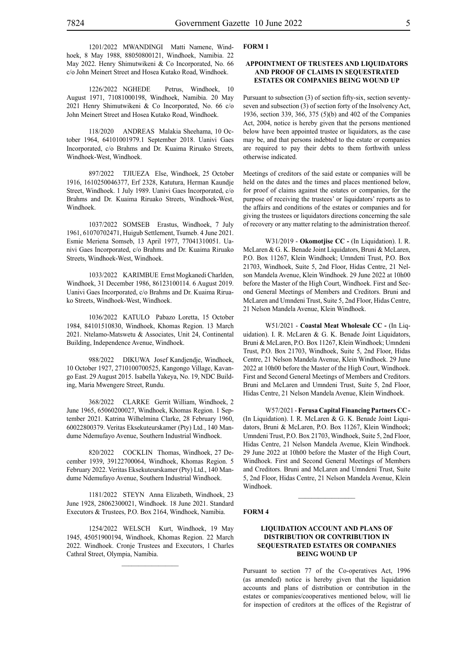1201/2022 MWANDINGI Matti Namene, Windhoek, 8 May 1988, 88050800121, Windhoek, Namibia. 22 May 2022. Henry Shimutwikeni & Co Incorporated, No. 66 c/o John Meinert Street and Hosea Kutako Road, Windhoek.

1226/2022 NGHEDE Petrus, Windhoek, 10 August 1971, 71081000198, Windhoek, Namibia. 20 May 2021 Henry Shimutwikeni & Co Incorporated, No. 66 c/o John Meinert Street and Hosea Kutako Road, Windhoek.

118/2020 ANDREAS Malakia Sheehama, 10 October 1964, 64101001979.1 September 2018. Uanivi Gaes Incorporated, c/o Brahms and Dr. Kuaima Riruako Streets, Windhoek-West, Windhoek.

897/2022 TJIUEZA Else, Windhoek, 25 October 1916, 1610250046377, Erf 2328, Katutura, Herman Kaundje Street, Windhoek. 1 July 1989. Uanivi Gaes Incorporated, c/o Brahms and Dr. Kuaima Riruako Streets, Windhoek-West, Windhoek.

1037/2022 SOMSEB Erastus, Windhoek, 7 July 1961, 61070702471, Huigub Settlement, Tsumeb. 4 June 2021. Esmie Meriena Somseb, 13 April 1977, 77041310051. Uanivi Gaes Incorporated, c/o Brahms and Dr. Kuaima Riruako Streets, Windhoek-West, Windhoek.

1033/2022 KARIMBUE Ernst Mogkanedi Charlden, Windhoek, 31 December 1986, 86123100114. 6 August 2019. Uanivi Gaes Incorporated, c/o Brahms and Dr. Kuaima Riruako Streets, Windhoek-West, Windhoek.

1036/2022 KATULO Pabazo Loretta, 15 October 1984, 84101510830, Windhoek, Khomas Region. 13 March 2021. Ntelamo-Matswetu & Associates, Unit 24, Continental Building, Independence Avenue, Windhoek.

988/2022 DIKUWA Josef Kandjendje, Windhoek, 10 October 1927, 2710100700525, Kangongo Village, Kavango East. 29 August 2015. Isabella Yakeya, No. 19, NDC Building, Maria Mwengere Street, Rundu.

368/2022 CLARKE Gerrit William, Windhoek, 2 June 1965, 65060200027, Windhoek, Khomas Region. 1 September 2021. Katrina Wilhelmina Clarke, 28 February 1960, 60022800379. Veritas Eksekuteurskamer (Pty) Ltd., 140 Mandume Ndemufayo Avenue, Southern Industrial Windhoek.

820/2022 COCKLIN Thomas, Windhoek, 27 December 1939, 39122700064, Windhoek, Khomas Region. 5 February 2022. Veritas Eksekuteurskamer (Pty) Ltd., 140 Mandume Ndemufayo Avenue, Southern Industrial Windhoek.

1181/2022 STEYN Anna Elizabeth, Windhoek, 23 June 1928, 28062300021, Windhoek. 18 June 2021. Standard Executors & Trustees, P.O. Box 2164, Windhoek, Namibia.

1254/2022 WELSCH Kurt, Windhoek, 19 May 1945, 45051900194, Windhoek, Khomas Region. 22 March 2022. Windhoek. Cronje Trustees and Executors, 1 Charles Cathral Street, Olympia, Namibia.

#### **FORM 1**

#### **APPOINTMENT OF TRUSTEES AND LIQUIDATORS AND PROOF OF CLAIMS IN SEQUESTRATED ESTATES OR COMPANIES BEING WOUND UP**

Pursuant to subsection (3) of section fifty-six, section seventyseven and subsection (3) of section forty of the Insolvency Act, 1936, section 339, 366, 375 (5)(b) and 402 of the Companies Act, 2004, notice is hereby given that the persons mentioned below have been appointed trustee or liquidators, as the case may be, and that persons indebted to the estate or companies are required to pay their debts to them forthwith unless otherwise indicated.

Meetings of creditors of the said estate or companies will be held on the dates and the times and places mentioned below, for proof of claims against the estates or companies, for the purpose of receiving the trustees' or liquidators' reports as to the affairs and conditions of the estates or companies and for giving the trustees or liquidators directions concerning the sale of recovery or any matter relating to the administration thereof.

W31/2019 - **Okomotjise CC -** (In Liquidation). I. R. McLaren & G. K. Benade Joint Liquidators, Bruni & McLaren, P.O. Box 11267, Klein Windhoek; Umndeni Trust, P.O. Box 21703, Windhoek, Suite 5, 2nd Floor, Hidas Centre, 21 Nelson Mandela Avenue, Klein Windhoek. 29 June 2022 at 10h00 before the Master of the High Court, Windhoek. First and Second General Meetings of Members and Creditors. Bruni and McLaren and Umndeni Trust, Suite 5, 2nd Floor, Hidas Centre, 21 Nelson Mandela Avenue, Klein Windhoek.

W51/2021 - **Coastal Meat Wholesale CC -** (In Liquidation). I. R. McLaren & G. K. Benade Joint Liquidators, Bruni & McLaren, P.O. Box 11267, Klein Windhoek; Umndeni Trust, P.O. Box 21703, Windhoek, Suite 5, 2nd Floor, Hidas Centre, 21 Nelson Mandela Avenue, Klein Windhoek. 29 June 2022 at 10h00 before the Master of the High Court, Windhoek. First and Second General Meetings of Members and Creditors. Bruni and McLaren and Umndeni Trust, Suite 5, 2nd Floor, Hidas Centre, 21 Nelson Mandela Avenue, Klein Windhoek.

W57/2021 - **Ferusa Capital Financing Partners CC -** (In Liquidation). I. R. McLaren & G. K. Benade Joint Liquidators, Bruni & McLaren, P.O. Box 11267, Klein Windhoek; Umndeni Trust, P.O. Box 21703, Windhoek, Suite 5, 2nd Floor, Hidas Centre, 21 Nelson Mandela Avenue, Klein Windhoek. 29 June 2022 at 10h00 before the Master of the High Court, Windhoek. First and Second General Meetings of Members and Creditors. Bruni and McLaren and Umndeni Trust, Suite 5, 2nd Floor, Hidas Centre, 21 Nelson Mandela Avenue, Klein Windhoek.

#### **FORM 4**

#### **LIQUIDATION ACCOUNT AND PLANS OF DISTRIBUTION OR CONTRIBUTION IN SEQUESTRATED ESTATES OR COMPANIES BEING WOUND UP**

 $\mathcal{L}_\text{max}$ 

Pursuant to section 77 of the Co-operatives Act, 1996 (as amended) notice is hereby given that the liquidation accounts and plans of distribution or contribution in the estates or companies/cooperatives mentioned below, will lie for inspection of creditors at the offices of the Registrar of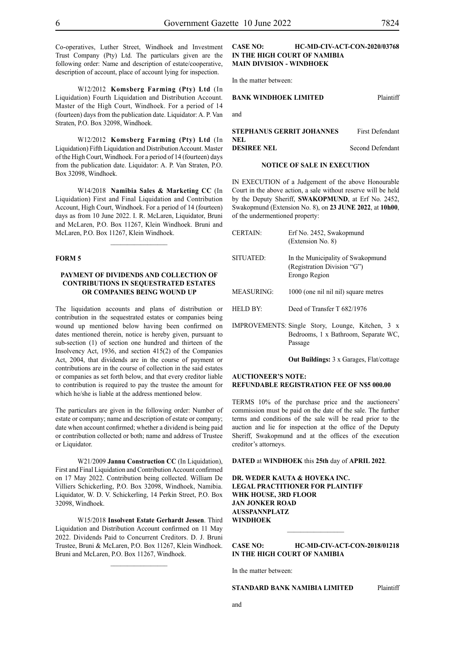Co-operatives, Luther Street, Windhoek and Investment Trust Company (Pty) Ltd. The particulars given are the following order: Name and description of estate/cooperative, description of account, place of account lying for inspection.

W12/2012 **Komsberg Farming (Pty) Ltd** (In Liquidation) Fourth Liquidation and Distribution Account. Master of the High Court, Windhoek. For a period of 14 (fourteen) days from the publication date. Liquidator: A. P. Van Straten, P.O. Box 32098, Windhoek.

W12/2012 **Komsberg Farming (Pty) Ltd** (In Liquidation) Fifth Liquidation and Distribution Account. Master of the High Court, Windhoek. For a period of 14 (fourteen) days from the publication date. Liquidator: A. P. Van Straten, P.O. Box 32098, Windhoek.

W14/2018 **Namibia Sales & Marketing CC** (In Liquidation) First and Final Liquidation and Contribution Account, High Court, Windhoek. For a period of 14 (fourteen) days as from 10 June 2022. I. R. McLaren, Liquidator, Bruni and McLaren, P.O. Box 11267, Klein Windhoek. Bruni and McLaren, P.O. Box 11267, Klein Windhoek.

 $\frac{1}{2}$ 

#### **FORM 5**

#### **PAYMENT OF DIVIDENDS AND COLLECTION OF CONTRIBUTIONS IN SEQUESTRATED ESTATES OR COMPANIES BEING WOUND UP**

The liquidation accounts and plans of distribution or contribution in the sequestrated estates or companies being wound up mentioned below having been confirmed on dates mentioned therein, notice is hereby given, pursuant to sub-section (1) of section one hundred and thirteen of the Insolvency Act, 1936, and section 415(2) of the Companies Act, 2004, that dividends are in the course of payment or contributions are in the course of collection in the said estates or companies as set forth below, and that every creditor liable to contribution is required to pay the trustee the amount for which he/she is liable at the address mentioned below.

The particulars are given in the following order: Number of estate or company; name and description of estate or company; date when account confirmed; whether a dividend is being paid or contribution collected or both; name and address of Trustee or Liquidator.

W21/2009 **Jannu Construction CC** (In Liquidation), First and Final Liquidation and Contribution Account confirmed on 17 May 2022. Contribution being collected. William De Villiers Schickerling, P.O. Box 32098, Windhoek, Namibia. Liquidator, W. D. V. Schickerling, 14 Perkin Street, P.O. Box 32098, Windhoek.

W15/2018 **Insolvent Estate Gerhardt Jessen**. Third Liquidation and Distribution Account confirmed on 11 May 2022. Dividends Paid to Concurrent Creditors. D. J. Bruni Trustee, Bruni & McLaren, P.O. Box 11267, Klein Windhoek. Bruni and McLaren, P.O. Box 11267, Windhoek.

#### **CASE NO: HC-MD-CIV-ACT-CON-2020/03768 IN THE HIGH COURT OF NAMIBIA MAIN DIVISION - WINDHOEK**

In the matter between:

#### **BANK WINDHOEK LIMITED** Plaintiff

and

| <b>STEPHANUS GERRIT JOHANNES</b> | <b>First Defendant</b> |
|----------------------------------|------------------------|
| NEL.                             |                        |
| <b>DESIREE NEL</b>               | Second Defendant       |

#### **NOTICE OF SALE IN EXECUTION**

IN EXECUTION of a Judgement of the above Honourable Court in the above action, a sale without reserve will be held by the Deputy Sheriff, **SWAKOPMUND**, at Erf No. 2452, Swakopmund (Extension No. 8), on **23 JUNE 2022**, at **10h00**, of the undermentioned property:

- CERTAIN: Erf No. 2452, Swakopmund (Extension No. 8) SITUATED: In the Municipality of Swakopmund (Registration Division "G") Erongo Region MEASURING: 1000 (one nil nil nil) square metres HELD BY: Deed of Transfer T 682/1976 IMPROVEMENTS: Single Story, Lounge, Kitchen, 3 x
- Bedrooms, 1 x Bathroom, Separate WC, Passage

**Out Buildings:** 3 x Garages, Flat/cottage

#### **AUCTIONEER'S NOTE: REFUNDABLE REGISTRATION FEE OF N\$5 000.00**

TERMS 10% of the purchase price and the auctioneers' commission must be paid on the date of the sale. The further terms and conditions of the sale will be read prior to the auction and lie for inspection at the office of the Deputy Sheriff, Swakopmund and at the offices of the execution creditor's attorneys.

**DATED** at **WINDHOEK** this **25th** day of **APRIL 2022**.

**DR. WEDER KAUTA & HOVEKA INC. LEGAL PRACTITIONER FOR PLAINTIFF WHK HOUSE, 3RD FLOOR JAN JONKER ROAD AUSSPANNPLATZ WINDHOEK**

**CASE NO: HC-MD-CIV-ACT-CON-2018/01218 IN THE HIGH COURT OF NAMIBIA**

 $\frac{1}{2}$ 

In the matter between:

**STANDARD BANK NAMIBIA LIMITED** Plaintiff

and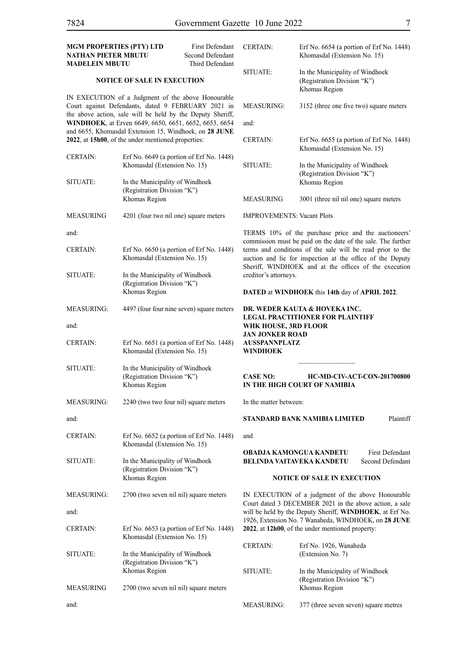| <b>MGM PROPERTIES (PTY) LTD</b><br>NATHAN PIETER MBUTU<br><b>MADELEIN MBUTU</b>                                                                                                                                                 |                                                                                                              | First Defendant<br>Second Defendant<br>Third Defendant | <b>CERTAIN:</b>                                                                 | Erf No. 6654 (a portion of Erf No. 1448)<br>Khomasdal (Extension No. 15)                                                                                                                                                                          |
|---------------------------------------------------------------------------------------------------------------------------------------------------------------------------------------------------------------------------------|--------------------------------------------------------------------------------------------------------------|--------------------------------------------------------|---------------------------------------------------------------------------------|---------------------------------------------------------------------------------------------------------------------------------------------------------------------------------------------------------------------------------------------------|
| <b>NOTICE OF SALE IN EXECUTION</b>                                                                                                                                                                                              |                                                                                                              | SITUATE:                                               | In the Municipality of Windhoek<br>(Registration Division "K")<br>Khomas Region |                                                                                                                                                                                                                                                   |
| IN EXECUTION of a Judgment of the above Honourable<br>Court against Defendants, dated 9 FEBRUARY 2021 in<br>the above action, sale will be held by the Deputy Sheriff,<br>WINDHOEK, at Erven 6649, 6650, 6651, 6652, 6653, 6654 |                                                                                                              | <b>MEASURING:</b>                                      | 3152 (three one five two) square meters                                         |                                                                                                                                                                                                                                                   |
|                                                                                                                                                                                                                                 |                                                                                                              | and:                                                   |                                                                                 |                                                                                                                                                                                                                                                   |
|                                                                                                                                                                                                                                 | and 6655, Khomasdal Extension 15, Windhoek, on 28 JUNE<br>2022, at 15h00, of the under mentioned properties: |                                                        | <b>CERTAIN:</b>                                                                 | Erf No. 6655 (a portion of Erf No. 1448)<br>Khomasdal (Extension No. 15)                                                                                                                                                                          |
| <b>CERTAIN:</b>                                                                                                                                                                                                                 | Khomasdal (Extension No. 15)                                                                                 | Erf No. 6649 (a portion of Erf No. 1448)               | SITUATE:                                                                        | In the Municipality of Windhoek<br>(Registration Division "K")                                                                                                                                                                                    |
| <b>SITUATE:</b>                                                                                                                                                                                                                 | In the Municipality of Windhoek<br>(Registration Division "K")                                               |                                                        |                                                                                 | Khomas Region                                                                                                                                                                                                                                     |
|                                                                                                                                                                                                                                 | Khomas Region                                                                                                |                                                        | <b>MEASURING</b>                                                                | 3001 (three nil nil one) square meters                                                                                                                                                                                                            |
| MEASURING                                                                                                                                                                                                                       | 4201 (four two nil one) square meters                                                                        |                                                        | <b>IMPROVEMENTS: Vacant Plots</b>                                               |                                                                                                                                                                                                                                                   |
| and:                                                                                                                                                                                                                            |                                                                                                              |                                                        |                                                                                 | TERMS 10% of the purchase price and the auctioneers'                                                                                                                                                                                              |
| CERTAIN:                                                                                                                                                                                                                        | Khomasdal (Extension No. 15)                                                                                 | Erf No. 6650 (a portion of Erf No. 1448)               |                                                                                 | commission must be paid on the date of the sale. The further<br>terms and conditions of the sale will be read prior to the<br>auction and lie for inspection at the office of the Deputy<br>Sheriff, WINDHOEK and at the offices of the execution |
| <b>SITUATE:</b>                                                                                                                                                                                                                 | In the Municipality of Windhoek<br>(Registration Division "K")<br>Khomas Region                              |                                                        | creditor's attorneys.                                                           | DATED at WINDHOEK this 14th day of APRIL 2022.                                                                                                                                                                                                    |
| <b>MEASURING:</b>                                                                                                                                                                                                               |                                                                                                              | 4497 (four four nine seven) square meters              |                                                                                 | DR. WEDER KAUTA & HOVEKA INC.<br><b>LEGAL PRACTITIONER FOR PLAINTIFF</b>                                                                                                                                                                          |
| and:                                                                                                                                                                                                                            |                                                                                                              |                                                        | WHK HOUSE, 3RD FLOOR<br><b>JAN JONKER ROAD</b>                                  |                                                                                                                                                                                                                                                   |
| CERTAIN:                                                                                                                                                                                                                        | Khomasdal (Extension No. 15)                                                                                 | Erf No. 6651 (a portion of Erf No. 1448)               | <b>AUSSPANNPLATZ</b><br><b>WINDHOEK</b>                                         |                                                                                                                                                                                                                                                   |
| <b>SITUATE:</b>                                                                                                                                                                                                                 | In the Municipality of Windhoek<br>(Registration Division "K")<br>Khomas Region                              |                                                        | <b>CASE NO:</b>                                                                 | <b>HC-MD-CIV-ACT-CON-201700800</b><br>IN THE HIGH COURT OF NAMIBIA                                                                                                                                                                                |
| <b>MEASURING:</b>                                                                                                                                                                                                               | 2240 (two two four nil) square meters                                                                        |                                                        | In the matter between:                                                          |                                                                                                                                                                                                                                                   |
| and:                                                                                                                                                                                                                            |                                                                                                              |                                                        |                                                                                 | STANDARD BANK NAMIBIA LIMITED<br>Plaintiff                                                                                                                                                                                                        |
| CERTAIN:                                                                                                                                                                                                                        | Khomasdal (Extension No. 15)                                                                                 | Erf No. $6652$ (a portion of Erf No. 1448)             | and                                                                             |                                                                                                                                                                                                                                                   |
| SITUATE:                                                                                                                                                                                                                        | In the Municipality of Windhoek<br>(Registration Division "K")                                               |                                                        |                                                                                 | OBADJA KAMONGUA KANDETU<br><b>First Defendant</b><br><b>BELINDA VAITAVEKA KANDETU</b><br>Second Defendant                                                                                                                                         |
|                                                                                                                                                                                                                                 | Khomas Region                                                                                                |                                                        | <b>NOTICE OF SALE IN EXECUTION</b>                                              |                                                                                                                                                                                                                                                   |
| <b>MEASURING:</b>                                                                                                                                                                                                               | 2700 (two seven nil nil) square meters                                                                       |                                                        |                                                                                 | IN EXECUTION of a judgment of the above Honourable<br>Court dated 3 DECEMBER 2021 in the above action, a sale                                                                                                                                     |
| and:                                                                                                                                                                                                                            |                                                                                                              |                                                        |                                                                                 | will be held by the Deputy Sheriff, WINDHOEK, at Erf No.<br>1926, Extension No. 7 Wanaheda, WINDHOEK, on 28 JUNE                                                                                                                                  |
| CERTAIN:                                                                                                                                                                                                                        | Khomasdal (Extension No. 15)                                                                                 | Erf No. $6653$ (a portion of Erf No. 1448)             |                                                                                 | 2022, at 12h00, of the under mentioned property:                                                                                                                                                                                                  |
| SITUATE:                                                                                                                                                                                                                        | In the Municipality of Windhoek                                                                              |                                                        | <b>CERTAIN:</b>                                                                 | Erf No. 1926, Wanaheda<br>(Extension No. 7)                                                                                                                                                                                                       |
|                                                                                                                                                                                                                                 | (Registration Division "K")<br>Khomas Region                                                                 |                                                        | SITUATE:                                                                        | In the Municipality of Windhoek<br>(Registration Division "K")                                                                                                                                                                                    |
| MEASURING                                                                                                                                                                                                                       | 2700 (two seven nil nil) square meters                                                                       |                                                        |                                                                                 | Khomas Region                                                                                                                                                                                                                                     |
| and:                                                                                                                                                                                                                            |                                                                                                              |                                                        | <b>MEASURING:</b>                                                               | 377 (three seven seven) square metres                                                                                                                                                                                                             |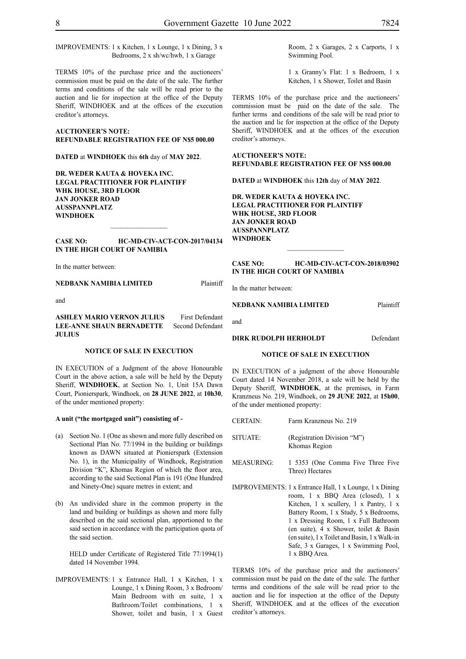IMPROVEMENTS: 1 x Kitchen, 1 x Lounge, 1 x Dining, 3 x Bedrooms, 2 x sh/wc/hwb, 1 x Garage

TERMS 10% of the purchase price and the auctioneers' commission must be paid on the date of the sale. The further terms and conditions of the sale will be read prior to the auction and lie for inspection at the office of the Deputy Sheriff, WINDHOEK and at the offices of the execution creditor's attorneys.

#### **AUCTIONEER'S NOTE: REFUNDABLE REGISTRATION FEE OF N\$5 000.00**

**DATED** at **WINDHOEK** this **6th** day of **MAY 2022**.

**DR. WEDER KAUTA & HOVEKA INC. LEGAL PRACTITIONER FOR PLAINTIFF WHK HOUSE, 3RD FLOOR JAN JONKER ROAD AUSSPANNPLATZ WINDHOEK**

#### **CASE NO: HC-MD-CIV-ACT-CON-2017/04134 IN THE HIGH COURT OF NAMIBIA**

 $\frac{1}{2}$ 

In the matter between:

**NEDBANK NAMIBIA LIMITED** Plaintiff

and

#### **ASHLEY MARIO VERNON JULIUS** First Defendant **LEE-ANNE SHAUN BERNADETTE** Second Defendant **JULIUS**

#### **NOTICE OF SALE IN EXECUTION**

IN EXECUTION of a Judgment of the above Honourable Court in the above action, a sale will be held by the Deputy Sheriff, **WINDHOEK**, at Section No. 1, Unit 15A Dawn Court, Pionierspark, Windhoek, on **28 JUNE 2022**, at **10h30**, of the under mentioned property:

#### **A unit ("the mortgaged unit") consisting of -**

- (a) Section No. 1 (One as shown and more fully described on Sectional Plan No. 77/1994 in the building or buildings known as DAWN situated at Pionierspark (Extension No. 1), in the Municipality of Windhoek, Registration Division "K", Khomas Region of which the floor area, according to the said Sectional Plan is 191 (One Hundred and Ninety-One) square metres in extent; and
- (b) An undivided share in the common property in the land and building or buildings as shown and more fully described on the said sectional plan, apportioned to the said section in accordance with the participation quota of the said section.

HELD under Certificate of Registered Title 77/1994(1) dated 14 November 1994.

IMPROVEMENTS: 1 x Entrance Hall, 1 x Kitchen, 1 x Lounge, 1 x Dining Room, 3 x Bedroom/ Main Bedroom with en suite, 1 x Bathroom/Toilet combinations, 1 x Shower, toilet and basin, 1 x Guest

1 x Granny's Flat: 1 x Bedroom, 1 x Kitchen, 1 x Shower, Toilet and Basin

TERMS 10% of the purchase price and the auctioneers' commission must be paid on the date of the sale. The further terms and conditions of the sale will be read prior to the auction and lie for inspection at the office of the Deputy Sheriff, WINDHOEK and at the offices of the execution creditor's attorneys.

#### **AUCTIONEER'S NOTE: REFUNDABLE REGISTRATION FEE OF N\$5 000.00**

**DATED** at **WINDHOEK** this **12th** day of **MAY 2022**.

**DR. WEDER KAUTA & HOVEKA INC. LEGAL PRACTITIONER FOR PLAINTIFF WHK HOUSE, 3RD FLOOR JAN JONKER ROAD AUSSPANNPLATZ WINDHOEK**

#### **CASE NO: HC-MD-CIV-ACT-CON-2018/03902 IN THE HIGH COURT OF NAMIBIA**

In the matter between:

#### **NEDBANK NAMIBIA LIMITED** Plaintiff

and

#### **DIRK RUDOLPH HERHOLDT** Defendant

#### **NOTICE OF SALE IN EXECUTION**

IN EXECUTION of a judgment of the above Honourable Court dated 14 November 2018, a sale will be held by the Deputy Sheriff, **WINDHOEK**, at the premises, in Farm Kranzneus No. 219, Windhoek, on **29 JUNE 2022**, at **15h00**, of the under mentioned property:

- CERTAIN: Farm Kranzneus No. 219
- SITUATE: (Registration Division "M") Khomas Region
- MEASURING: 1 5353 (One Comma Five Three Five Three) Hectares
- IMPROVEMENTS: 1 x Entrance Hall, 1 x Lounge, 1 x Dining room, 1 x BBQ Area (closed), 1 x Kitchen, 1 x scullery, 1 x Pantry, 1 x Battery Room, 1 x Study, 5 x Bedrooms, 1 x Dressing Room, 1 x Full Bathroom (en suite), 4 x Shower, toilet & Basin (en suite), 1 x Toilet and Basin, 1 x Walk-in Safe, 3 x Garages, 1 x Swimming Pool, 1 x BBQ Area.

TERMS 10% of the purchase price and the auctioneers' commission must be paid on the date of the sale. The further terms and conditions of the sale will be read prior to the auction and lie for inspection at the office of the Deputy Sheriff, WINDHOEK and at the offices of the execution creditor's attorneys.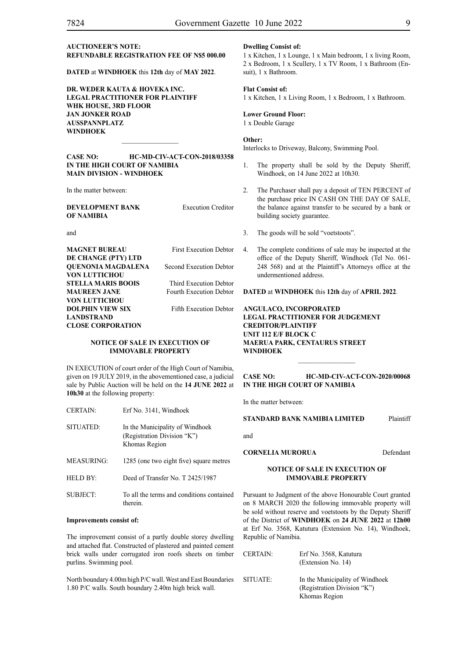#### **AUCTIONEER'S NOTE: REFUNDABLE REGISTRATION FEE OF N\$5 000.00**

**DATED** at **WINDHOEK** this **12th** day of **MAY 2022**.

**DR. WEDER KAUTA & HOVEKA INC. LEGAL PRACTITIONER FOR PLAINTIFF WHK HOUSE, 3RD FLOOR JAN JONKER ROAD AUSSPANNPLATZ WINDHOEK**

#### **CASE NO: HC-MD-CIV-ACT-CON-2018/03358 IN THE HIGH COURT OF NAMIBIA MAIN DIVISION - WINDHOEK**

 $\overline{\phantom{a}}$  ,  $\overline{\phantom{a}}$  ,  $\overline{\phantom{a}}$  ,  $\overline{\phantom{a}}$  ,  $\overline{\phantom{a}}$  ,  $\overline{\phantom{a}}$  ,  $\overline{\phantom{a}}$  ,  $\overline{\phantom{a}}$  ,  $\overline{\phantom{a}}$  ,  $\overline{\phantom{a}}$  ,  $\overline{\phantom{a}}$  ,  $\overline{\phantom{a}}$  ,  $\overline{\phantom{a}}$  ,  $\overline{\phantom{a}}$  ,  $\overline{\phantom{a}}$  ,  $\overline{\phantom{a}}$ 

In the matter between:

**DEVELOPMENT BANK** Execution Creditor **OF NAMIBIA**

and

| MAGNET BUREAU            | <b>First Execution Debtor</b>  |
|--------------------------|--------------------------------|
| DE CHANGE (PTY) LTD      |                                |
| OUENONIA MAGDALENA       | Second Execution Debtor        |
| VON LUTTICHOU            |                                |
| STELLA MARIS BOOIS       | Third Execution Debtor         |
| <b>MAUREEN JANE</b>      | <b>Fourth Execution Debtor</b> |
| VON LUTTICHOU            |                                |
| DOLPHIN VIEW SIX         | <b>Fifth Execution Debtor</b>  |
| LANDSTRAND               |                                |
| <b>CLOSE CORPORATION</b> |                                |
|                          |                                |

#### **NOTICE OF SALE IN EXECUTION OF IMMOVABLE PROPERTY**

IN EXECUTION of court order of the High Court of Namibia, given on 19 JULY 2019, in the abovementioned case, a judicial sale by Public Auction will be held on the **14 JUNE 2022** at **10h30** at the following property:

| <b>CERTAIN:</b> | Erf No. 3141, Windhoek                                                          |
|-----------------|---------------------------------------------------------------------------------|
| SITUATED:       | In the Municipality of Windhoek<br>(Registration Division "K")<br>Khomas Region |
| MEASURING:      | 1285 (one two eight five) square metres                                         |
| HELD BY.        | Deed of Transfer No. T 2425/1987                                                |
| SUBJECT:        | To all the terms and conditions contained<br>therein.                           |

#### **Improvements consist of:**

The improvement consist of a partly double storey dwelling and attached flat. Constructed of plastered and painted cement brick walls under corrugated iron roofs sheets on timber purlins. Swimming pool.

North boundary 4.00m high P/C wall. West and East Boundaries 1.80 P/C walls. South boundary 2.40m high brick wall.

#### **Dwelling Consist of:**

1 x Kitchen, 1 x Lounge, 1 x Main bedroom, 1 x living Room, 2 x Bedroom, 1 x Scullery, 1 x TV Room, 1 x Bathroom (Ensuit), 1 x Bathroom.

#### **Flat Consist of:**

1 x Kitchen, 1 x Living Room, 1 x Bedroom, 1 x Bathroom.

#### **Lower Ground Floor:**

1 x Double Garage

#### **Other:**

Interlocks to Driveway, Balcony, Swimming Pool.

- 1. The property shall be sold by the Deputy Sheriff, Windhoek, on 14 June 2022 at 10h30.
- 2. The Purchaser shall pay a deposit of TEN PERCENT of the purchase price IN CASH ON THE DAY OF SALE, the balance against transfer to be secured by a bank or building society guarantee.
- 3. The goods will be sold "voetstoots".
- 4. The complete conditions of sale may be inspected at the office of the Deputy Sheriff, Windhoek (Tel No. 061- 248 568) and at the Plaintiff's Attorneys office at the undermentioned address.

**DATED** at **WINDHOEK** this **12th** day of **APRIL 2022**.

**ANGULACO, INCORPORATED LEGAL PRACTITIONER FOR JUDGEMENT CREDITOR/PLAINTIFF UNIT 112 E/F BLOCK C MAERUA PARK, CENTAURUS STREET WINDHOEK**

#### **CASE NO: HC-MD-CIV-ACT-CON-2020/00068 IN THE HIGH COURT OF NAMIBIA**

 $\frac{1}{2}$ 

In the matter between:

**STANDARD BANK NAMIBIA LIMITED** Plaintiff

and

#### **CORNELIA MURORUA** Defendant

#### **NOTICE OF SALE IN EXECUTION OF IMMOVABLE PROPERTY**

Pursuant to Judgment of the above Honourable Court granted on 8 MARCH 2020 the following immovable property will be sold without reserve and voetstoots by the Deputy Sheriff of the District of **WINDHOEK** on **24 JUNE 2022** at **12h00** at Erf No. 3568, Katutura (Extension No. 14), Windhoek, Republic of Namibia.

| <b>CERTAIN:</b> | Erf No. 3568, Katutura<br>(Extension No. 14)                                    |
|-----------------|---------------------------------------------------------------------------------|
| SITUATE:        | In the Municipality of Windhoek<br>(Registration Division "K")<br>Khomas Region |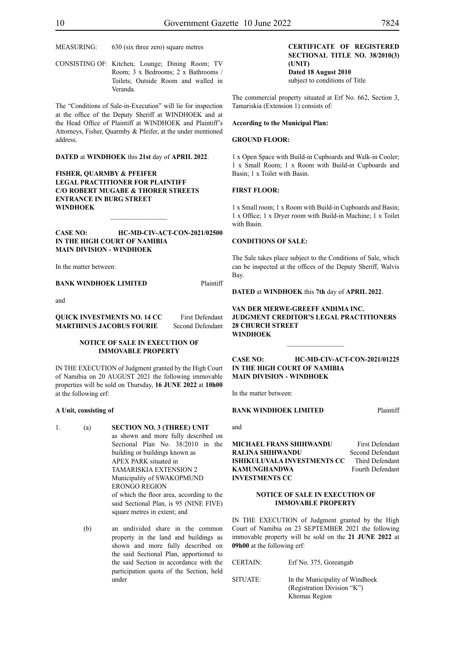MEASURING: 630 (six three zero) square metres

CONSISTING OF: Kitchen; Lounge; Dining Room; TV Room; 3 x Bedrooms; 2 x Bathrooms / Toilets; Outside Room and walled in Veranda.

The "Conditions of Sale-in-Execution" will lie for inspection at the office of the Deputy Sheriff at WINDHOEK and at the Head Office of Plaintiff at WINDHOEK and Plaintiff's Attorneys, Fisher, Quarmby & Pfeifer, at the under mentioned address.

**DATED** at **WINDHOEK** this **21st** day of **APRIL 2022**.

**FISHER, QUARMBY & PFEIFER LEGAL PRACTITIONER FOR PLAINTIFF C/O ROBERT MUGABE & THORER STREETS ENTRANCE IN BURG STREET WINDHOEK**

#### **CASE NO: HC-MD-CIV-ACT-CON-2021/02500 IN THE HIGH COURT OF NAMIBIA MAIN DIVISION - WINDHOEK**

 $\frac{1}{2}$ 

In the matter between:

**BANK WINDHOEK LIMITED** Plaintiff

and

#### **QUICK INVESTMENTS NO. 14 CC** First Defendant **MARTHINUS JACOBUS FOURIE** Second Defendant

#### **NOTICE OF SALE IN EXECUTION OF IMMOVABLE PROPERTY**

IN THE EXECUTION of Judgment granted by the High Court of Namibia on 20 AUGUST 2021 the following immovable properties will be sold on Thursday, **16 JUNE 2022** at **10h00**  at the following erf:

#### **A Unit, consisting of**

- 1. (a) **SECTION NO. 3 (THREE) UNIT** as shown and more fully described on Sectional Plan No. 38/2010 in the building or buildings known as APEX PARK situated in TAMARISKIA EXTENSION 2 Municipality of SWAKOPMUND ERONGO REGION of which the floor area, according to the said Sectional Plan, is 95 (NINE FIVE) square metres in extent; and
	- (b) an undivided share in the common property in the land and buildings as shown and more fully described on the said Sectional Plan, apportioned to the said Section in accordance with the participation quota of the Section, held under

#### **CERTIFICATE OF REGISTERED SECTIONAL TITLE NO. 38/2010(3) (UNIT) Dated 18 August 2010**

subject to conditions of Title

The commercial property situated at Erf No. 662, Section 3, Tamariskia (Extension 1) consists of:

#### **According to the Municipal Plan:**

#### **GROUND FLOOR:**

1 x Open Space with Build-in Cupboards and Walk-in Cooler; 1 x Small Room; 1 x Room with Build-in Cupboards and Basin; 1 x Toilet with Basin.

#### **FIRST FLOOR:**

1 x Small room; 1 x Room with Build-in Cupboards and Basin; 1 x Office; 1 x Dryer room with Build-in Machine; 1 x Toilet with Basin.

#### **CONDITIONS OF SALE:**

The Sale takes place subject to the Conditions of Sale, which can be inspected at the offices of the Deputy Sheriff, Walvis Bay.

**DATED** at **WINDHOEK** this **7th** day of **APRIL 2022**.

#### **VAN DER MERWE-GREEFF ANDIMA INC. JUDGMENT CREDITOR'S LEGAL PRACTITIONERS 28 CHURCH STREET WINDHOEK**

**CASE NO: HC-MD-CIV-ACT-CON-2021/01225 IN THE HIGH COURT OF NAMIBIA MAIN DIVISION - WINDHOEK**

 $\frac{1}{2}$ 

In the matter between:

#### **BANK WINDHOEK LIMITED** Plaintiff

and

**MICHAEL FRANS SHIHWANDU** First Defendant **RALINA SHIHWANDU** Second Defendant **ISHIKULUVALA INVESTMENTS CC** Third Defendant **KAMUNGHANDWA** Fourth Defendant **INVESTMENTS CC**

#### **NOTICE OF SALE IN EXECUTION OF IMMOVABLE PROPERTY**

IN THE EXECUTION of Judgment granted by the High Court of Namibia on 23 SEPTEMBER 2021 the following immovable property will be sold on the **21 JUNE 2022** at **09h00** at the following erf:

CERTAIN: Erf No. 375, Goreangab SITUATE: In the Municipality of Windhoek (Registration Division "K") Khomas Region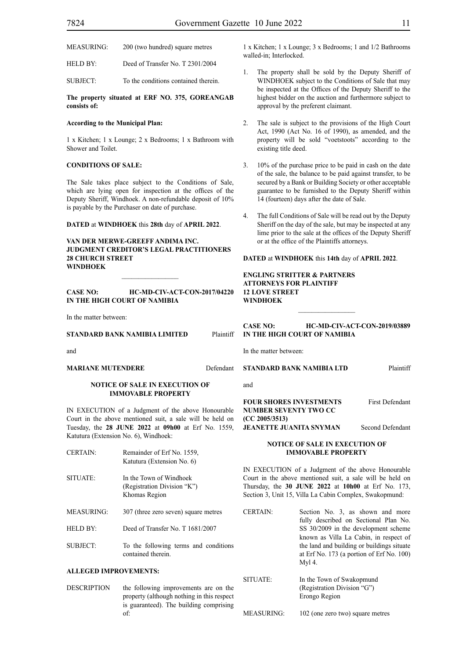HELD BY: Deed of Transfer No. T 2301/2004

SUBJECT: To the conditions contained therein.

**The property situated at ERF NO. 375, GOREANGAB consists of:**

#### **According to the Municipal Plan:**

1 x Kitchen; 1 x Lounge; 2 x Bedrooms; 1 x Bathroom with Shower and Toilet.

#### **CONDITIONS OF SALE:**

The Sale takes place subject to the Conditions of Sale, which are lying open for inspection at the offices of the Deputy Sheriff, Windhoek. A non-refundable deposit of 10% is payable by the Purchaser on date of purchase.

#### **DATED** at **WINDHOEK** this **28th** day of **APRIL 2022**.

**VAN DER MERWE-GREEFF ANDIMA INC. JUDGMENT CREDITOR'S LEGAL PRACTITIONERS 28 CHURCH STREET WINDHOEK**

#### **CASE NO: HC-MD-CIV-ACT-CON-2017/04220 IN THE HIGH COURT OF NAMIBIA**

 $\frac{1}{2}$ 

In the matter between:

#### **STANDARD BANK NAMIBIA LIMITED** Plaintiff

and

#### **MARIANE MUTENDERE** Defendant

#### **NOTICE OF SALE IN EXECUTION OF IMMOVABLE PROPERTY**

IN EXECUTION of a Judgment of the above Honourable Court in the above mentioned suit, a sale will be held on Tuesday, the **28 JUNE 2022** at **09h00** at Erf No. 1559, Katutura (Extension No. 6), Windhoek:

| <b>CERTAIN:</b>   | Remainder of Erf No. 1559,<br>Katutura (Extension No. 6)                |
|-------------------|-------------------------------------------------------------------------|
| SITUATE:          | In the Town of Windhoek<br>(Registration Division "K")<br>Khomas Region |
| <b>MEASURING:</b> | 307 (three zero seven) square metres                                    |
| HELD BY:          | Deed of Transfer No. T 1681/2007                                        |

SUBJECT: To the following terms and conditions contained therein.

#### **ALLEGED IMPROVEMENTS:**

DESCRIPTION the following improvements are on the property (although nothing in this respect is guaranteed). The building comprising of:

1 x Kitchen; 1 x Lounge; 3 x Bedrooms; 1 and 1/2 Bathrooms walled-in; Interlocked.

- The property shall be sold by the Deputy Sheriff of WINDHOEK subject to the Conditions of Sale that may be inspected at the Offices of the Deputy Sheriff to the highest bidder on the auction and furthermore subject to approval by the preferent claimant.
- 2. The sale is subject to the provisions of the High Court Act, 1990 (Act No. 16 of 1990), as amended, and the property will be sold "voetstoots" according to the existing title deed.
- 3. 10% of the purchase price to be paid in cash on the date of the sale, the balance to be paid against transfer, to be secured by a Bank or Building Society or other acceptable guarantee to be furnished to the Deputy Sheriff within 14 (fourteen) days after the date of Sale.
- 4. The full Conditions of Sale will be read out by the Deputy Sheriff on the day of the sale, but may be inspected at any lime prior to the sale at the offices of the Deputy Sheriff or at the office of the Plaintiffs attorneys.

#### **DATED** at **WINDHOEK** this **14th** day of **APRIL 2022**.

#### **ENGLING STRITTER & PARTNERS ATTORNEYS FOR PLAINTIFF 12 LOVE STREET WINDHOEK**

**CASE NO: HC-MD-CIV-ACT-CON-2019/03889 IN THE HIGH COURT OF NAMIBIA**

In the matter between:

**STANDARD BANK NAMIBIA LTD** Plaintiff

and

**FOUR SHORES INVESTMENTS** First Defendant **NUMBER SEVENTY TWO CC (CC 2005/3513) JEANETTE JUANITA SNYMAN** Second Defendant

#### **NOTICE OF SALE IN EXECUTION OF IMMOVABLE PROPERTY**

IN EXECUTION of a Judgment of the above Honourable Court in the above mentioned suit, a sale will be held on Thursday, the **30 JUNE 2022** at **10h00** at Erf No. 173, Section 3, Unit 15, Villa La Cabin Complex, Swakopmund:

CERTAIN: Section No. 3, as shown and more fully described on Sectional Plan No. SS 30/2009 in the development scheme known as Villa La Cabin, in respect of the land and building or buildings situate at Erf No. 173 (a portion of Erf No. 100) Myl 4.

SITUATE: In the Town of Swakopmund (Registration Division "G") Erongo Region

MEASURING: 102 (one zero two) square metres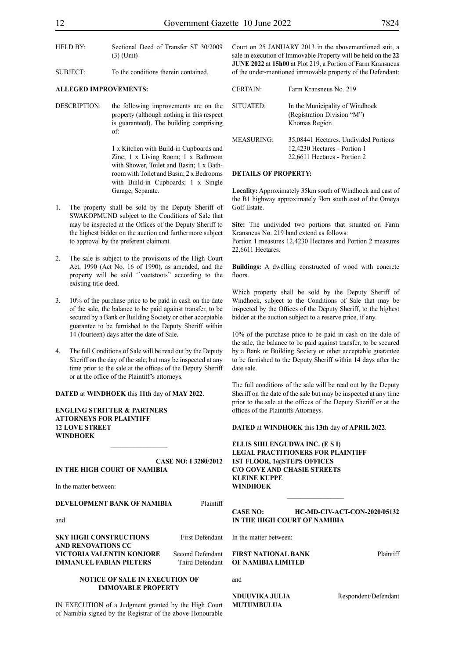- HELD BY: Sectional Deed of Transfer ST 30/2009 (3) (Unit)
- SUBJECT: To the conditions therein contained.

#### **ALLEGED IMPROVEMENTS:**

DESCRIPTION: the following improvements are on the property (although nothing in this respect is guaranteed). The building comprising of:

> 1 x Kitchen with Build-in Cupboards and Zinc; 1 x Living Room; 1 x Bathroom with Shower, Toilet and Basin; 1 x Bathroom with Toilet and Basin; 2 x Bedrooms with Build-in Cupboards; 1 x Single Garage, Separate.

- 1. The property shall be sold by the Deputy Sheriff of SWAKOPMUND subject to the Conditions of Sale that may be inspected at the Offices of the Deputy Sheriff to the highest bidder on the auction and furthermore subject to approval by the preferent claimant.
- 2. The sale is subject to the provisions of the High Court Act, 1990 (Act No. 16 of 1990), as amended, and the property will be sold ''voetstoots" according to the existing title deed.
- 3. 10% of the purchase price to be paid in cash on the date of the sale, the balance to be paid against transfer, to be secured by a Bank or Building Society or other acceptable guarantee to be furnished to the Deputy Sheriff within 14 (fourteen) days after the date of Sale.
- 4. The full Conditions of Sale will be read out by the Deputy Sheriff on the day of the sale, but may be inspected at any time prior to the sale at the offices of the Deputy Sheriff or at the office of the Plaintiff's attorneys.

**DATED** at **WINDHOEK** this **11th** day of **MAY 2022**.

**ENGLING STRITTER & PARTNERS ATTORNEYS FOR PLAINTIFF 12 LOVE STREET WINDHOEK**

#### **CASE NO: I 3280/2012 IN THE HIGH COURT OF NAMIBIA**

 $\frac{1}{2}$ 

In the matter between:

#### **DEVELOPMENT BANK OF NAMIBIA** Plaintiff

and

**SKY HIGH CONSTRUCTIONS** First Defendant **AND RENOVATIONS CC VICTORIA VALENTIN KONJORE** Second Defendant **IMMANUEL FABIAN PIETERS** Third Defendant

**NOTICE OF SALE IN EXECUTION OF IMMOVABLE PROPERTY**

IN EXECUTION of a Judgment granted by the High Court of Namibia signed by the Registrar of the above Honourable

Court on 25 JANUARY 2013 in the abovementioned suit, a sale in execution of Immovable Property will be held on the **22 JUNE 2022** at **15h00** at Plot 219, a Portion of Farm Kransneus of the under-mentioned immovable property of the Defendant:

| <b>CERTAIN:</b> | Farm Kransneus No. 219                                                                                |
|-----------------|-------------------------------------------------------------------------------------------------------|
| SITUATED:       | In the Municipality of Windhoek<br>(Registration Division "M")<br>Khomas Region                       |
| MEASURING:      | 35,08441 Hectares. Undivided Portions<br>12,4230 Hectares - Portion 1<br>22,6611 Hectares - Portion 2 |

#### **DETAILS OF PROPERTY:**

**Locality:** Approximately 35km south of Windhoek and east of the B1 highway approximately 7km south east of the Omeya Golf Estate.

**Site:** The undivided two portions that situated on Farm Kransneus No. 219 land extend as follows:

Portion 1 measures 12,4230 Hectares and Portion 2 measures 22,6611 Hectares.

**Buildings:** A dwelling constructed of wood with concrete floors.

Which property shall be sold by the Deputy Sheriff of Windhoek, subject to the Conditions of Sale that may be inspected by the Offices of the Deputy Sheriff, to the highest bidder at the auction subject to a reserve price, if any.

10% of the purchase price to be paid in cash on the dale of the sale, the balance to be paid against transfer, to be secured by a Bank or Building Society or other acceptable guarantee to be furnished to the Deputy Sheriff within 14 days after the date sale.

The full conditions of the sale will be read out by the Deputy Sheriff on the date of the sale but may be inspected at any time prior to the sale at the offices of the Deputy Sheriff or at the offices of the Plaintiffs Attorneys.

**DATED** at **WINDHOEK** this **13th** day of **APRIL 2022**.

**ELLIS SHILENGUDWA INC. (E S I) LEGAL PRACTITIONERS FOR PLAINTIFF 1ST FLOOR, 1@STEPS OFFICES C/O GOVE AND CHASIE STREETS KLEINE KUPPE WINDHOEK**

**CASE NO: HC-MD-CIV-ACT-CON-2020/05132 IN THE HIGH COURT OF NAMIBIA**

 $\frac{1}{2}$ 

In the matter between:

**FIRST NATIONAL BANK** Plaintiff **OF NAMIBIA LIMITED**

**NDUUVIKA JULIA** Respondent/Defendant

and

**MUTUMBULUA**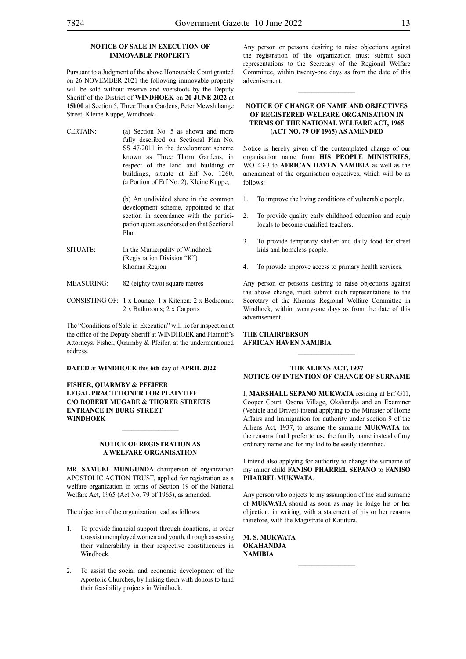## **NOTICE OF SALE IN EXECUTION OF**

#### **IMMOVABLE PROPERTY**

Pursuant to a Judgment of the above Honourable Court granted on 26 NOVEMBER 2021 the following immovable property will be sold without reserve and voetstoots by the Deputy Sheriff of the District of **WINDHOEK** on **20 JUNE 2022** at **15h00** at Section 5, Three Thorn Gardens, Peter Mewshihange Street, Kleine Kuppe, Windhoek:

CERTAIN: (a) Section No. 5 as shown and more fully described on Sectional Plan No. SS 47/2011 in the development scheme known as Three Thorn Gardens, in respect of the land and building or buildings, situate at Erf No. 1260, (a Portion of Erf No. 2), Kleine Kuppe,

> (b) An undivided share in the common development scheme, appointed to that section in accordance with the participation quota as endorsed on that Sectional Plan

- SITUATE: In the Municipality of Windhoek (Registration Division "K") Khomas Region
- MEASURING: 82 (eighty two) square metres
- CONSISTING OF: 1 x Lounge; 1 x Kitchen; 2 x Bedrooms; 2 x Bathrooms; 2 x Carports

The "Conditions of Sale-in-Execution" will lie for inspection at the office of the Deputy Sheriff at WINDHOEK and Plaintiff's Attorneys, Fisher, Quarmby & Pfeifer, at the undermentioned address.

**DATED** at **WINDHOEK** this **6th** day of **APRIL 2022**.

**FISHER, QUARMBY & PFEIFER LEGAL PRACTITIONER FOR PLAINTIFF C/O ROBERT MUGABE & THORER STREETS ENTRANCE IN BURG STREET WINDHOEK**

#### **NOTICE OF REGISTRATION AS A WELFARE ORGANISATION**

 $\frac{1}{2}$ 

MR. **SAMUEL MUNGUNDA** chairperson of organization APOSTOLIC ACTION TRUST, applied for registration as a welfare organization in terms of Section 19 of the National Welfare Act, 1965 (Act No. 79 of 1965), as amended.

The objection of the organization read as follows:

- 1. To provide financial support through donations, in order to assist unemployed women and youth, through assessing their vulnerability in their respective constituencies in Windhoek.
- 2. To assist the social and economic development of the Apostolic Churches, by linking them with donors to fund their feasibility projects in Windhoek.

Any person or persons desiring to raise objections against the registration of the organization must submit such representations to the Secretary of the Regional Welfare Committee, within twenty-one days as from the date of this advertisement.

 $\frac{1}{2}$ 

#### **NOTICE OF CHANGE OF NAME AND OBJECTIVES OF REGISTERED WELFARE ORGANISATION IN TERMS OF THE NATIONAL WELFARE ACT, 1965 (ACT NO. 79 OF 1965) AS AMENDED**

Notice is hereby given of the contemplated change of our organisation name from **HIS PEOPLE MINISTRIES**, WO143-3 to **AFRICAN HAVEN NAMIBIA** as well as the amendment of the organisation objectives, which will be as follows:

- 1. To improve the living conditions of vulnerable people.
- 2. To provide quality early childhood education and equip locals to become qualified teachers.
- 3. To provide temporary shelter and daily food for street kids and homeless people.
- 4. To provide improve access to primary health services.

Any person or persons desiring to raise objections against the above change, must submit such representations to the Secretary of the Khomas Regional Welfare Committee in Windhoek, within twenty-one days as from the date of this advertisement.

#### **THE CHAIRPERSON AFRICAN HAVEN NAMIBIA**

#### **THE ALIENS ACT, 1937 NOTICE OF INTENTION OF CHANGE OF SURNAME**

I, **MARSHALL SEPANO MUKWATA** residing at Erf G11, Cooper Court, Osona Village, Okahandja and an Examiner (Vehicle and Driver) intend applying to the Minister of Home Affairs and Immigration for authority under section 9 of the Alliens Act, 1937, to assume the surname **MUKWATA** for the reasons that I prefer to use the family name instead of my ordinary name and for my kid to be easily identified.

I intend also applying for authority to change the surname of my minor child **FANISO PHARREL SEPANO** to **FANISO PHARREL MUKWATA**.

Any person who objects to my assumption of the said surname of **MUKWATA** should as soon as may be lodge his or her objection, in writing, with a statement of his or her reasons therefore, with the Magistrate of Katutura.

**M. S. MUKWATA OKAHANDJA NAMIBIA**